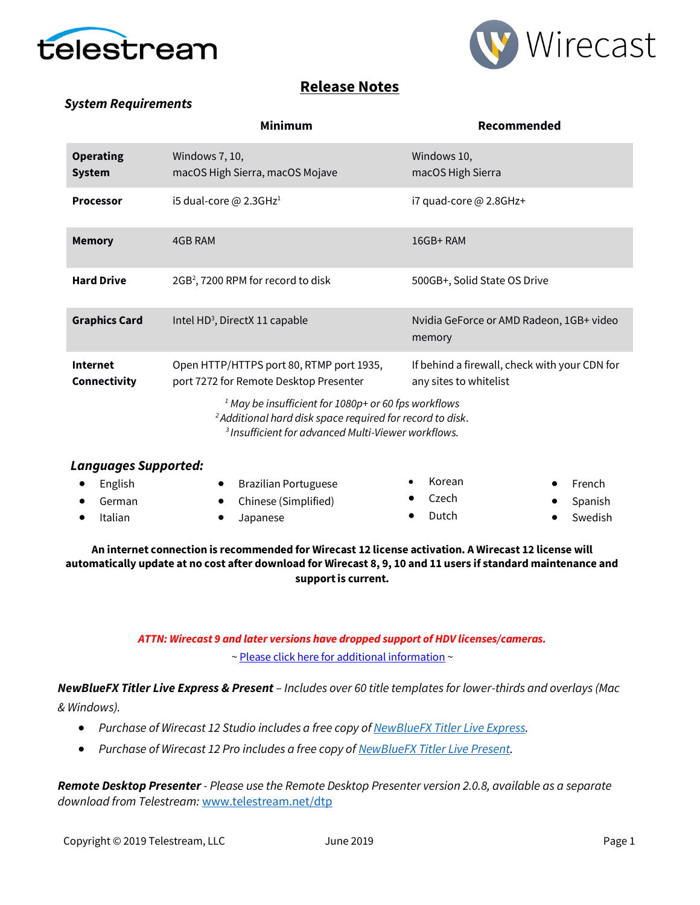



## **Release Notes**

### *System Requirements*

|                                   | <b>Minimum</b>                                                                                                                          | Recommended                                                             |  |  |  |
|-----------------------------------|-----------------------------------------------------------------------------------------------------------------------------------------|-------------------------------------------------------------------------|--|--|--|
| <b>Operating</b><br><b>System</b> | Windows 7, 10,<br>macOS High Sierra, macOS Mojave                                                                                       | Windows 10,<br>macOS High Sierra                                        |  |  |  |
| <b>Processor</b>                  | i5 dual-core $@$ 2.3GHz <sup>1</sup>                                                                                                    | i7 quad-core $@$ 2.8GHz+                                                |  |  |  |
| <b>Memory</b>                     | 4GB RAM                                                                                                                                 | $16GB+RAM$                                                              |  |  |  |
| <b>Hard Drive</b>                 | 2GB <sup>2</sup> , 7200 RPM for record to disk                                                                                          | 500GB+, Solid State OS Drive                                            |  |  |  |
| <b>Graphics Card</b>              | Intel HD <sup>3</sup> , DirectX 11 capable                                                                                              | Nvidia GeForce or AMD Radeon, 1GB+ video<br>memory                      |  |  |  |
| <b>Internet</b><br>Connectivity   | Open HTTP/HTTPS port 80, RTMP port 1935,<br>port 7272 for Remote Desktop Presenter                                                      | If behind a firewall, check with your CDN for<br>any sites to whitelist |  |  |  |
|                                   | <sup>1</sup> May be insufficient for 1080p+ or 60 fps workflows<br><sup>2</sup> Additional hard disk space required for record to disk. |                                                                         |  |  |  |

*<sup>3</sup>Insufficient for advanced Multi-Viewer workflows.*

| Languages Supported: |                        |        |                  |
|----------------------|------------------------|--------|------------------|
| English              | • Brazilian Portuguese | Korean | $\bullet$ French |
| German               | • Chinese (Simplified) | Czech  | • Spanish        |
| Italian              | Japanese               | Dutch  | Swedish          |

#### **An internet connection is recommended for Wirecast 12 license activation. A Wirecast 12 license will automatically update at no cost after download for Wirecast 8, 9, 10 and 11 users if standard maintenance and support is current.**

### *ATTN: Wirecast 9 and later versions have dropped support of HDV licenses/cameras.*  [~ Please click here for additional information](http://www.telestream.net/telestream-support/wire-cast/faq.htm?kbURL=http://telestream.force.com/kb/articles/Knowledge_Article/Wirecast-HDV-Firewire-No-longer-Supported/) ~

*NewBlueFX Titler Live Express & Present – Includes over 60 title templates for lower-thirds and overlays (Mac & Windows).*

- *Purchase of Wirecast 12 Studio includes a free copy o[f NewBlueFX Titler Live Express.](http://www.telestream.net/wirecast/newblue.htm)*
- *Purchase of Wirecast 12 Pro includes a free copy o[f NewBlueFX Titler Live Present.](http://www.telestream.net/wirecast/newblue.htm)*

*Remote Desktop Presenter - Please use the Remote Desktop Presenter version 2.0.8, available as a separate download from Telestream:* [www.telestream.net/dtp](http://www.telestream.net/dtp)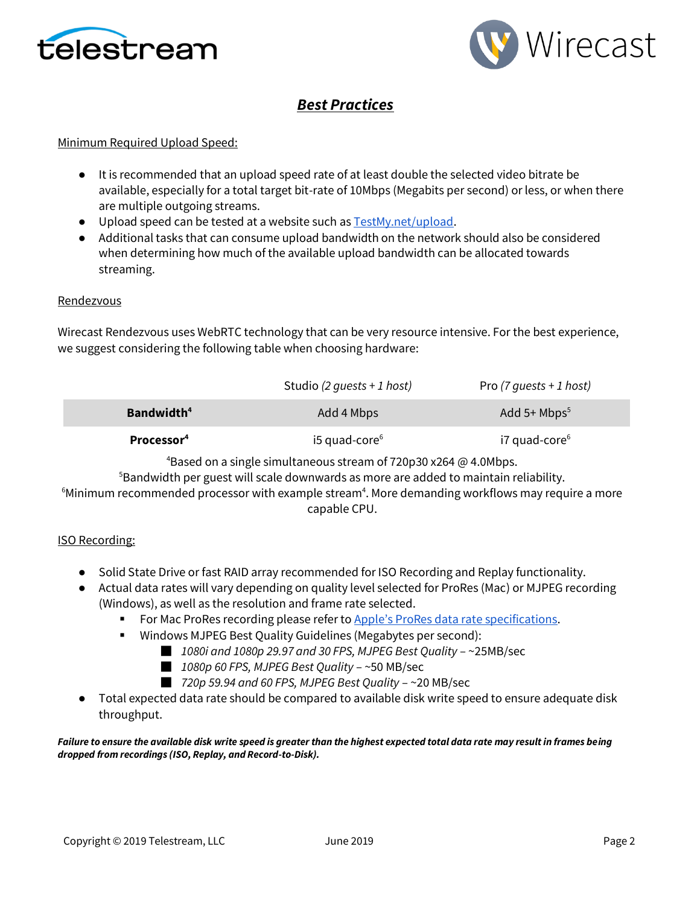



# *Best Practices*

#### Minimum Required Upload Speed:

- It is recommended that an upload speed rate of at least double the selected video bitrate be available, especially for a total target bit-rate of 10Mbps (Megabits per second) or less, or when there are multiple outgoing streams.
- Upload speed can be tested at a website such a[s TestMy.net/upload.](http://testmy.net/upload)
- Additional tasks that can consume upload bandwidth on the network should also be considered when determining how much of the available upload bandwidth can be allocated towards streaming.

#### **Rendezvous**

Wirecast Rendezvous uses WebRTC technology that can be very resource intensive. For the best experience, we suggest considering the following table when choosing hardware:

|                        | Studio (2 quests + 1 host)  | Pro (7 quests + 1 host)   |
|------------------------|-----------------------------|---------------------------|
| Bandwidth <sup>4</sup> | Add 4 Mbps                  | Add 5+ $Mbps^5$           |
| Processor <sup>4</sup> | $15$ quad-core <sup>6</sup> | i7 quad-core <sup>6</sup> |

<sup>4</sup>Based on a single simultaneous stream of 720p30 x264  $\omega$  4.0Mbps.

<sup>5</sup>Bandwidth per guest will scale downwards as more are added to maintain reliability.

 $6$ Minimum recommended processor with example stream $4$ . More demanding workflows may require a more capable CPU.

#### ISO Recording:

- Solid State Drive or fast RAID array recommended for ISO Recording and Replay functionality.
- Actual data rates will vary depending on quality level selected for ProRes (Mac) or MJPEG recording (Windows), as well as the resolution and frame rate selected.
	- For Mac ProRes recording please refer to [Apple's ProRes data rat](https://documentation.apple.com/en/finalcutpro/professionalformatsandworkflows/index.html)e specifications.
	- Windows MJPEG Best Quality Guidelines (Megabytes per second):
		- *1080i and 1080p 29.97 and 30 FPS, MJPEG Best Quality* ~25MB/sec
		- *1080p 60 FPS, MJPEG Best Quality* ~50 MB/sec
		- *720p 59.94 and 60 FPS, MJPEG Best Quality* ~20 MB/sec
- Total expected data rate should be compared to available disk write speed to ensure adequate disk throughput.

#### *Failure to ensure the available disk write speed is greater than the highest expected total data rate may result in frames being dropped from recordings (ISO, Replay, and Record-to-Disk).*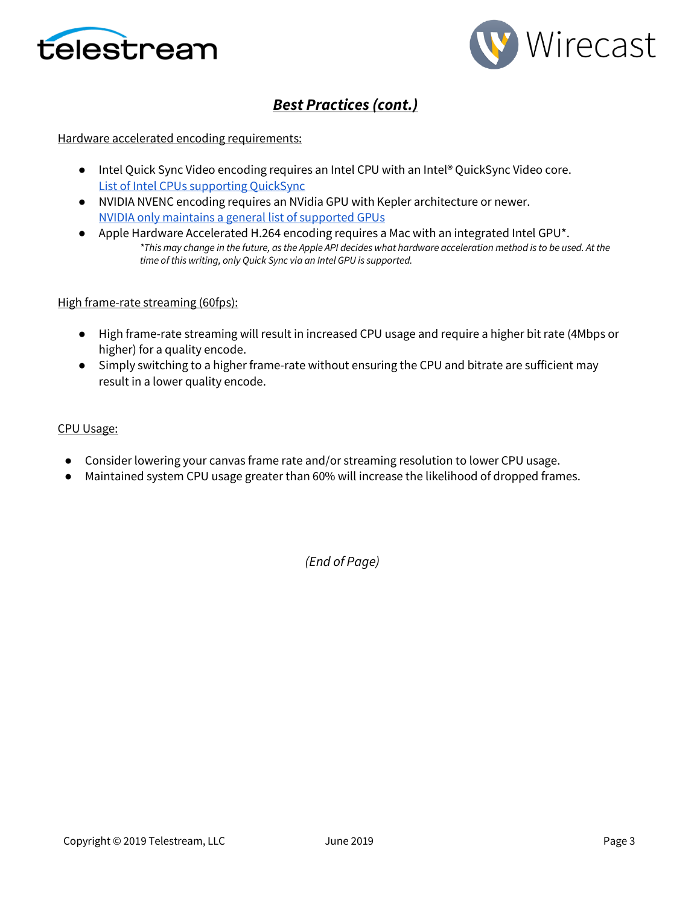



# *Best Practices (cont.)*

#### Hardware accelerated encoding requirements:

- Intel Quick Sync Video encoding requires an Intel CPU with an Intel® QuickSync Video core[.](http://ark.intel.com/search/advanced?QuickSyncVideo=true&MarketSegment=DT) [List of Intel CPUs supporting QuickSync](http://ark.intel.com/search/advanced?QuickSyncVideo=true&MarketSegment=DT)
- NVIDIA NVENC encoding requires an NVidia GPU with Kepler architecture or newer[.](https://developer.nvidia.com/nvidia-video-codec-sdk) [NVIDIA only maintains a general list of supported GPUs](https://developer.nvidia.com/nvidia-video-codec-sdk)
- Apple Hardware Accelerated H.264 encoding requires a Mac with an integrated Intel GPU<sup>\*</sup>. *\*This may change in the future, as the Apple API decides what hardware acceleration method is to be used. At the time of this writing, only Quick Sync via an Intel GPU is supported.*

#### High frame-rate streaming (60fps):

- High frame-rate streaming will result in increased CPU usage and require a higher bit rate (4Mbps or higher) for a quality encode.
- Simply switching to a higher frame-rate without ensuring the CPU and bitrate are sufficient may result in a lower quality encode.

#### CPU Usage:

- Consider lowering your canvas frame rate and/or streaming resolution to lower CPU usage.
- Maintained system CPU usage greater than 60% will increase the likelihood of dropped frames.

*(End of Page)*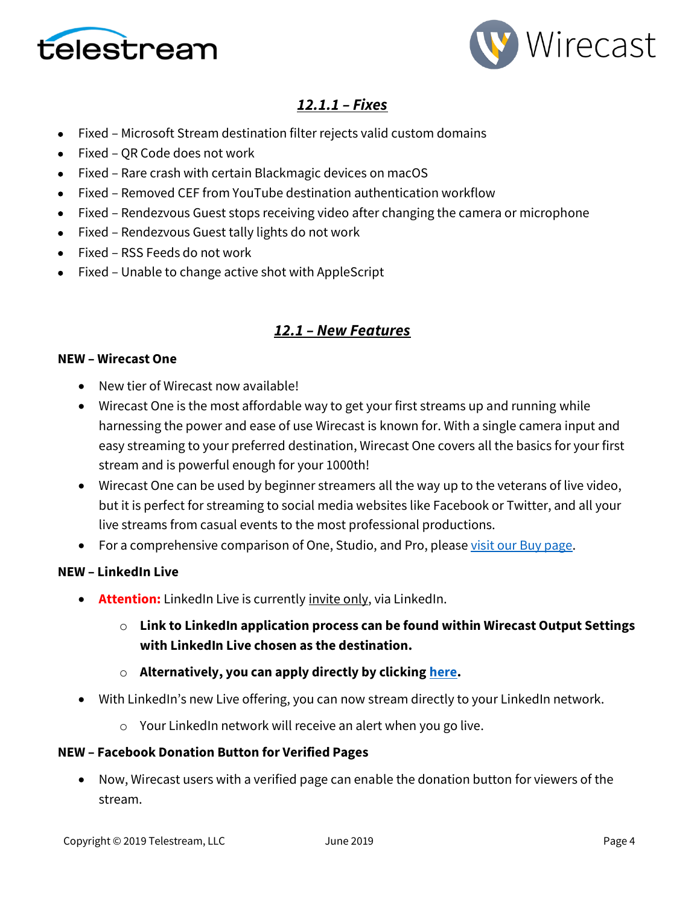



# *12.1.1 – Fixes*

- Fixed Microsoft Stream destination filter rejects valid custom domains
- Fixed QR Code does not work
- Fixed Rare crash with certain Blackmagic devices on macOS
- Fixed Removed CEF from YouTube destination authentication workflow
- Fixed Rendezvous Guest stops receiving video after changing the camera or microphone
- Fixed Rendezvous Guest tally lights do not work
- Fixed RSS Feeds do not work
- Fixed Unable to change active shot with AppleScript

## *12.1 – New Features*

### **NEW – Wirecast One**

- New tier of Wirecast now available!
- Wirecast One is the most affordable way to get your first streams up and running while harnessing the power and ease of use Wirecast is known for. With a single camera input and easy streaming to your preferred destination, Wirecast One covers all the basics for your first stream and is powerful enough for your 1000th!
- Wirecast One can be used by beginner streamers all the way up to the veterans of live video, but it is perfect for streaming to social media websites like Facebook or Twitter, and all your live streams from casual events to the most professional productions.
- For a comprehensive comparison of One, Studio, and Pro, please [visit our Buy page.](https://www.telestream.net/wirecast/store.asp)

### **NEW – LinkedIn Live**

- **Attention:** LinkedIn Live is currently invite only, via LinkedIn.
	- o **Link to LinkedIn application process can be found within Wirecast Output Settings with LinkedIn Live chosen as the destination.**
	- o **Alternatively, you can apply directly by clickin[g here.](https://www.linkedin.com/help/linkedin/answer/100224/applying-for-live-video-broadcasting)**
- With LinkedIn's new Live offering, you can now stream directly to your LinkedIn network.
	- o Your LinkedIn network will receive an alert when you go live.

### **NEW – Facebook Donation Button for Verified Pages**

• Now, Wirecast users with a verified page can enable the donation button for viewers of the stream.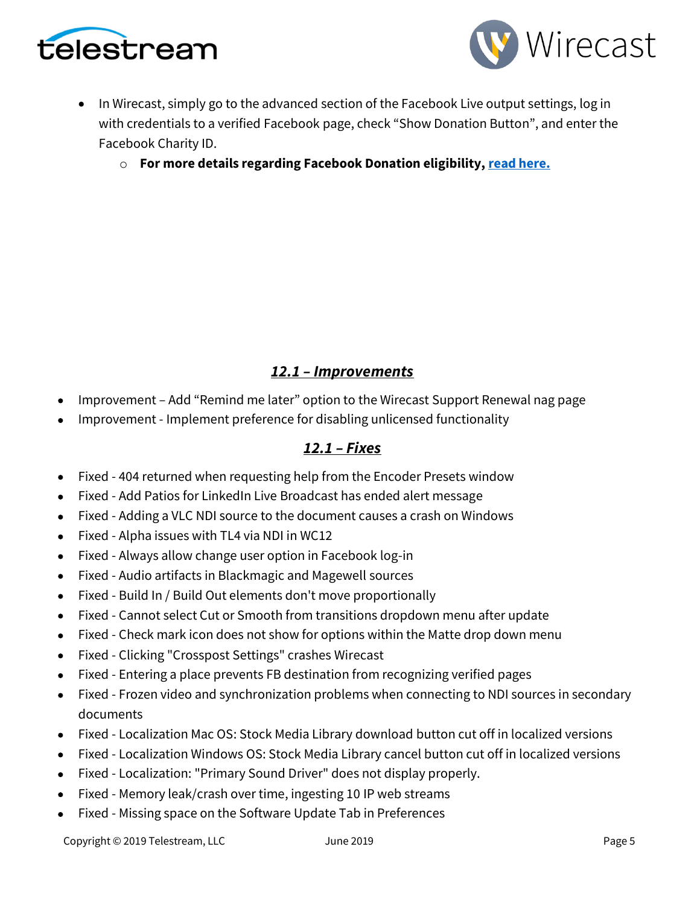



• In Wirecast, simply go to the advanced section of the Facebook Live output settings, log in with credentials to a verified Facebook page, check "Show Donation Button", and enter the Facebook Charity ID.

o **For more details regarding Facebook Donation eligibility, [read here.](https://www.facebook.com/facebookmedia/blog/fundraising-with-facebook-live)**

## *12.1 – Improvements*

- Improvement Add "Remind me later" option to the Wirecast Support Renewal nag page
- Improvement Implement preference for disabling unlicensed functionality

## *12.1 – Fixes*

- Fixed 404 returned when requesting help from the Encoder Presets window
- Fixed Add Patios for LinkedIn Live Broadcast has ended alert message
- Fixed Adding a VLC NDI source to the document causes a crash on Windows
- Fixed Alpha issues with TL4 via NDI in WC12
- Fixed Always allow change user option in Facebook log-in
- Fixed Audio artifacts in Blackmagic and Magewell sources
- Fixed Build In / Build Out elements don't move proportionally
- Fixed Cannot select Cut or Smooth from transitions dropdown menu after update
- Fixed Check mark icon does not show for options within the Matte drop down menu
- Fixed Clicking "Crosspost Settings" crashes Wirecast
- Fixed Entering a place prevents FB destination from recognizing verified pages
- Fixed Frozen video and synchronization problems when connecting to NDI sources in secondary documents
- Fixed Localization Mac OS: Stock Media Library download button cut off in localized versions
- Fixed Localization Windows OS: Stock Media Library cancel button cut off in localized versions
- Fixed Localization: "Primary Sound Driver" does not display properly.
- Fixed Memory leak/crash over time, ingesting 10 IP web streams
- Fixed Missing space on the Software Update Tab in Preferences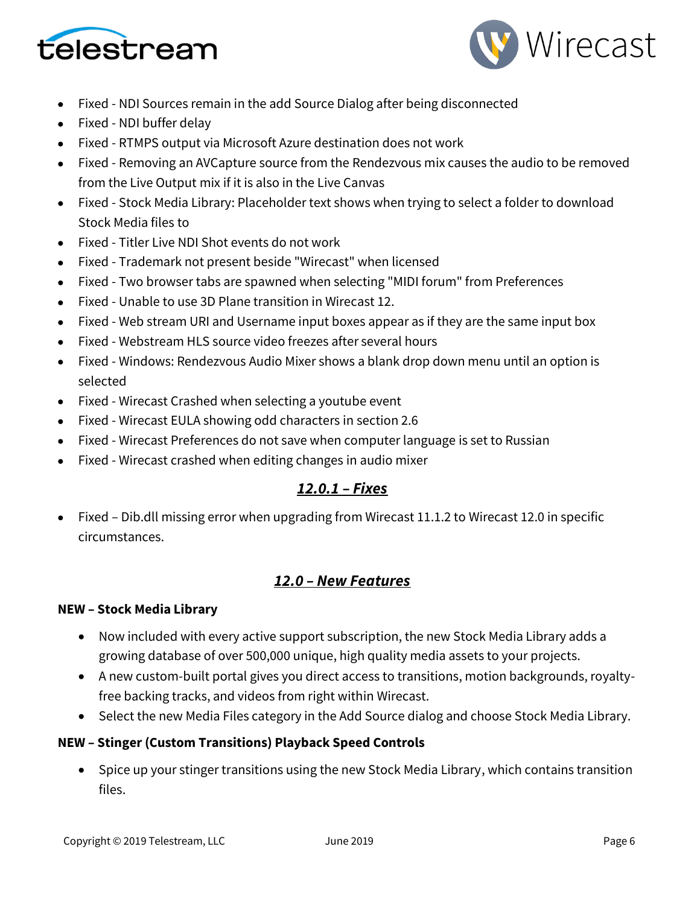



- Fixed NDI Sources remain in the add Source Dialog after being disconnected
- Fixed NDI buffer delay
- Fixed RTMPS output via Microsoft Azure destination does not work
- Fixed Removing an AVCapture source from the Rendezvous mix causes the audio to be removed from the Live Output mix if it is also in the Live Canvas
- Fixed Stock Media Library: Placeholder text shows when trying to select a folder to download Stock Media files to
- Fixed Titler Live NDI Shot events do not work
- Fixed Trademark not present beside "Wirecast" when licensed
- Fixed Two browser tabs are spawned when selecting "MIDI forum" from Preferences
- Fixed Unable to use 3D Plane transition in Wirecast 12.
- Fixed Web stream URI and Username input boxes appear as if they are the same input box
- Fixed Webstream HLS source video freezes after several hours
- Fixed Windows: Rendezvous Audio Mixer shows a blank drop down menu until an option is selected
- Fixed Wirecast Crashed when selecting a youtube event
- Fixed Wirecast EULA showing odd characters in section 2.6
- Fixed Wirecast Preferences do not save when computer language is set to Russian
- Fixed Wirecast crashed when editing changes in audio mixer

## *12.0.1 – Fixes*

• Fixed – Dib.dll missing error when upgrading from Wirecast 11.1.2 to Wirecast 12.0 in specific circumstances.

## *12.0 – New Features*

### **NEW – Stock Media Library**

- Now included with every active support subscription, the new Stock Media Library adds a growing database of over 500,000 unique, high quality media assets to your projects.
- A new custom-built portal gives you direct access to transitions, motion backgrounds, royaltyfree backing tracks, and videos from right within Wirecast.
- Select the new Media Files category in the Add Source dialog and choose Stock Media Library.

### **NEW – Stinger (Custom Transitions) Playback Speed Controls**

• Spice up your stinger transitions using the new Stock Media Library, which contains transition files.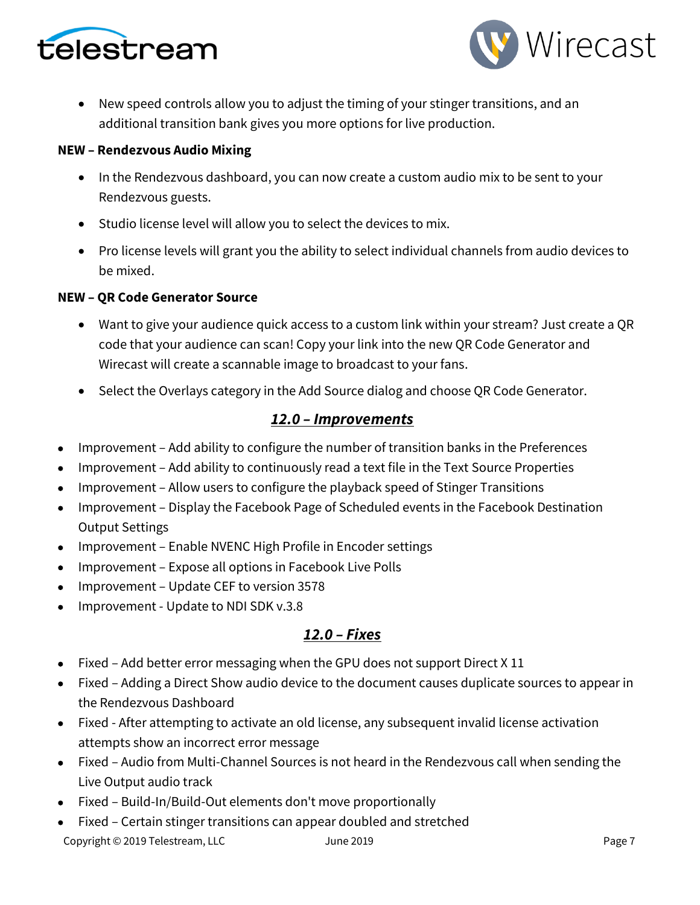



• New speed controls allow you to adjust the timing of your stinger transitions, and an additional transition bank gives you more options for live production.

### **NEW – Rendezvous Audio Mixing**

- In the Rendezvous dashboard, you can now create a custom audio mix to be sent to your Rendezvous guests.
- Studio license level will allow you to select the devices to mix.
- Pro license levels will grant you the ability to select individual channels from audio devices to be mixed.

### **NEW – QR Code Generator Source**

- Want to give your audience quick access to a custom link within your stream? Just create a QR code that your audience can scan! Copy your link into the new QR Code Generator and Wirecast will create a scannable image to broadcast to your fans.
- Select the Overlays category in the Add Source dialog and choose QR Code Generator.

## *12.0 – Improvements*

- Improvement Add ability to configure the number of transition banks in the Preferences
- Improvement Add ability to continuously read a text file in the Text Source Properties
- Improvement Allow users to configure the playback speed of Stinger Transitions
- Improvement Display the Facebook Page of Scheduled events in the Facebook Destination Output Settings
- Improvement Enable NVENC High Profile in Encoder settings
- Improvement Expose all options in Facebook Live Polls
- Improvement Update CEF to version 3578
- Improvement Update to NDI SDK v.3.8

### *12.0 – Fixes*

- Fixed Add better error messaging when the GPU does not support Direct X 11
- Fixed Adding a Direct Show audio device to the document causes duplicate sources to appear in the Rendezvous Dashboard
- Fixed After attempting to activate an old license, any subsequent invalid license activation attempts show an incorrect error message
- Fixed Audio from Multi-Channel Sources is not heard in the Rendezvous call when sending the Live Output audio track
- Fixed Build-In/Build-Out elements don't move proportionally
- Fixed Certain stinger transitions can appear doubled and stretched

Copyright © 2019 Telestream, LLC and The 2019 Dune 2019 Page 7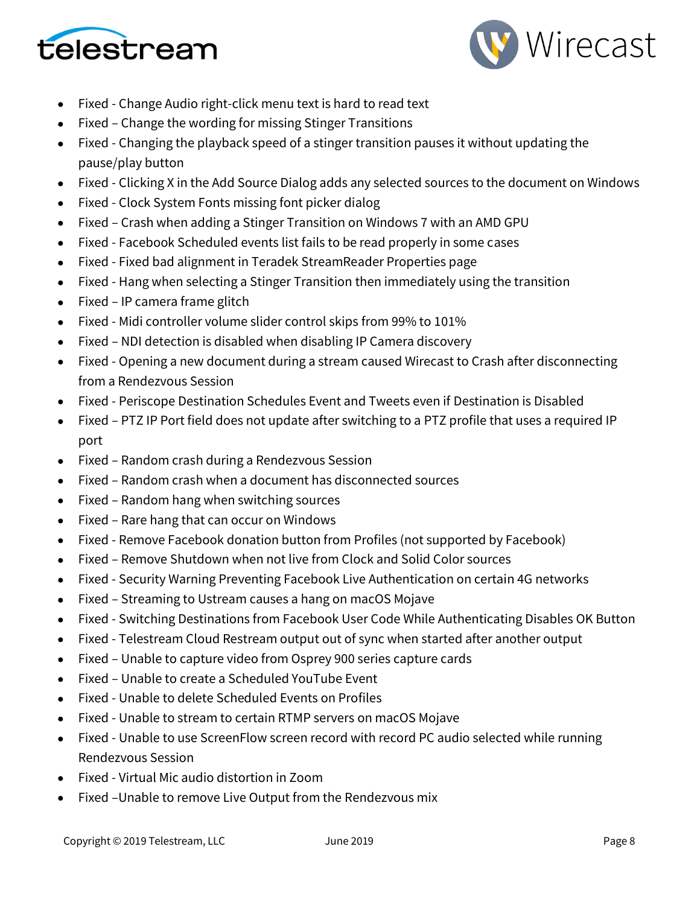



- Fixed Change Audio right-click menu text is hard to read text
- Fixed Change the wording for missing Stinger Transitions
- Fixed Changing the playback speed of a stinger transition pauses it without updating the pause/play button
- Fixed Clicking X in the Add Source Dialog adds any selected sources to the document on Windows
- Fixed Clock System Fonts missing font picker dialog
- Fixed Crash when adding a Stinger Transition on Windows 7 with an AMD GPU
- Fixed Facebook Scheduled events list fails to be read properly in some cases
- Fixed Fixed bad alignment in Teradek StreamReader Properties page
- Fixed Hang when selecting a Stinger Transition then immediately using the transition
- Fixed IP camera frame glitch
- Fixed Midi controller volume slider control skips from 99% to 101%
- Fixed NDI detection is disabled when disabling IP Camera discovery
- Fixed Opening a new document during a stream caused Wirecast to Crash after disconnecting from a Rendezvous Session
- Fixed Periscope Destination Schedules Event and Tweets even if Destination is Disabled
- Fixed PTZ IP Port field does not update after switching to a PTZ profile that uses a required IP port
- Fixed Random crash during a Rendezvous Session
- Fixed Random crash when a document has disconnected sources
- Fixed Random hang when switching sources
- Fixed Rare hang that can occur on Windows
- Fixed Remove Facebook donation button from Profiles (not supported by Facebook)
- Fixed Remove Shutdown when not live from Clock and Solid Color sources
- Fixed Security Warning Preventing Facebook Live Authentication on certain 4G networks
- Fixed Streaming to Ustream causes a hang on macOS Mojave
- Fixed Switching Destinations from Facebook User Code While Authenticating Disables OK Button
- Fixed Telestream Cloud Restream output out of sync when started after another output
- Fixed Unable to capture video from Osprey 900 series capture cards
- Fixed Unable to create a Scheduled YouTube Event
- Fixed Unable to delete Scheduled Events on Profiles
- Fixed Unable to stream to certain RTMP servers on macOS Mojave
- Fixed Unable to use ScreenFlow screen record with record PC audio selected while running Rendezvous Session
- Fixed Virtual Mic audio distortion in Zoom
- Fixed –Unable to remove Live Output from the Rendezvous mix